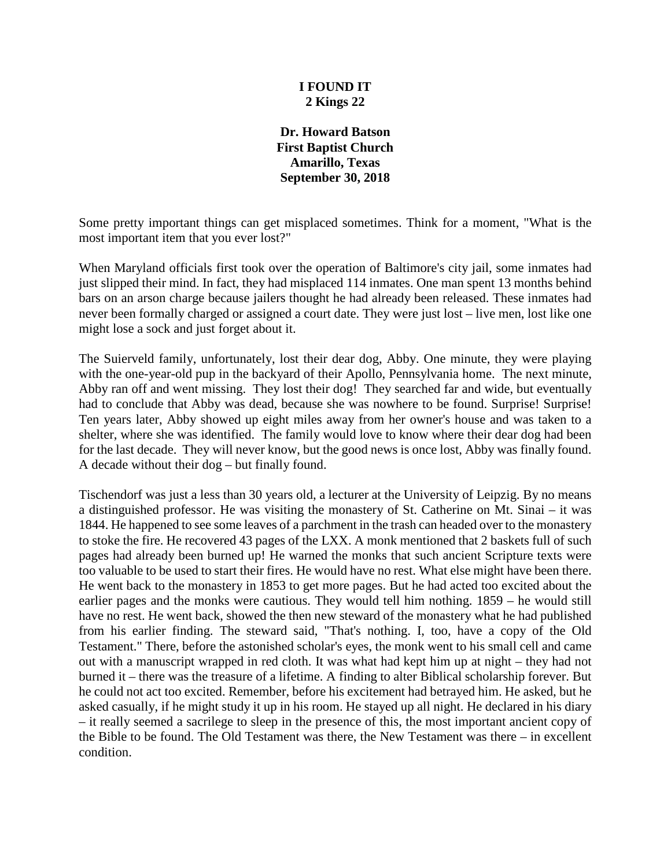### **I FOUND IT 2 Kings 22**

**Dr. Howard Batson First Baptist Church Amarillo, Texas September 30, 2018**

Some pretty important things can get misplaced sometimes. Think for a moment, "What is the most important item that you ever lost?"

When Maryland officials first took over the operation of Baltimore's city jail, some inmates had just slipped their mind. In fact, they had misplaced 114 inmates. One man spent 13 months behind bars on an arson charge because jailers thought he had already been released. These inmates had never been formally charged or assigned a court date. They were just lost – live men, lost like one might lose a sock and just forget about it.

The Suierveld family, unfortunately, lost their dear dog, Abby. One minute, they were playing with the one-year-old pup in the backyard of their Apollo, Pennsylvania home. The next minute, Abby ran off and went missing. They lost their dog! They searched far and wide, but eventually had to conclude that Abby was dead, because she was nowhere to be found. Surprise! Surprise! Ten years later, Abby showed up eight miles away from her owner's house and was taken to a shelter, where she was identified. The family would love to know where their dear dog had been for the last decade. They will never know, but the good news is once lost, Abby was finally found. A decade without their dog – but finally found.

Tischendorf was just a less than 30 years old, a lecturer at the University of Leipzig. By no means a distinguished professor. He was visiting the monastery of St. Catherine on Mt. Sinai – it was 1844. He happened to see some leaves of a parchment in the trash can headed over to the monastery to stoke the fire. He recovered 43 pages of the LXX. A monk mentioned that 2 baskets full of such pages had already been burned up! He warned the monks that such ancient Scripture texts were too valuable to be used to start their fires. He would have no rest. What else might have been there. He went back to the monastery in 1853 to get more pages. But he had acted too excited about the earlier pages and the monks were cautious. They would tell him nothing. 1859 – he would still have no rest. He went back, showed the then new steward of the monastery what he had published from his earlier finding. The steward said, "That's nothing. I, too, have a copy of the Old Testament." There, before the astonished scholar's eyes, the monk went to his small cell and came out with a manuscript wrapped in red cloth. It was what had kept him up at night – they had not burned it – there was the treasure of a lifetime. A finding to alter Biblical scholarship forever. But he could not act too excited. Remember, before his excitement had betrayed him. He asked, but he asked casually, if he might study it up in his room. He stayed up all night. He declared in his diary – it really seemed a sacrilege to sleep in the presence of this, the most important ancient copy of the Bible to be found. The Old Testament was there, the New Testament was there – in excellent condition.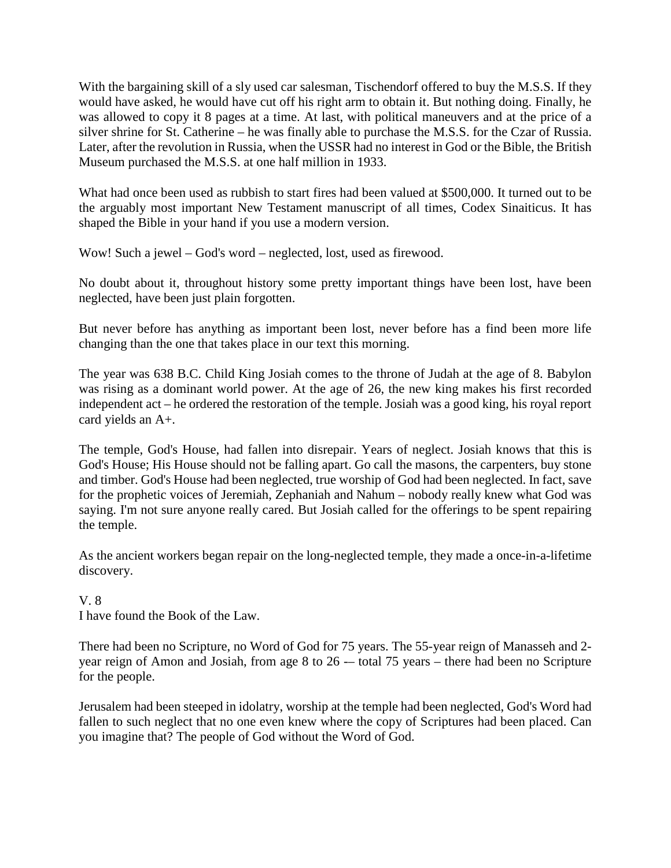With the bargaining skill of a sly used car salesman, Tischendorf offered to buy the M.S.S. If they would have asked, he would have cut off his right arm to obtain it. But nothing doing. Finally, he was allowed to copy it 8 pages at a time. At last, with political maneuvers and at the price of a silver shrine for St. Catherine – he was finally able to purchase the M.S.S. for the Czar of Russia. Later, after the revolution in Russia, when the USSR had no interest in God or the Bible, the British Museum purchased the M.S.S. at one half million in 1933.

What had once been used as rubbish to start fires had been valued at \$500,000. It turned out to be the arguably most important New Testament manuscript of all times, Codex Sinaiticus. It has shaped the Bible in your hand if you use a modern version.

Wow! Such a jewel – God's word – neglected, lost, used as firewood.

No doubt about it, throughout history some pretty important things have been lost, have been neglected, have been just plain forgotten.

But never before has anything as important been lost, never before has a find been more life changing than the one that takes place in our text this morning.

The year was 638 B.C. Child King Josiah comes to the throne of Judah at the age of 8. Babylon was rising as a dominant world power. At the age of 26, the new king makes his first recorded independent act – he ordered the restoration of the temple. Josiah was a good king, his royal report card yields an A+.

The temple, God's House, had fallen into disrepair. Years of neglect. Josiah knows that this is God's House; His House should not be falling apart. Go call the masons, the carpenters, buy stone and timber. God's House had been neglected, true worship of God had been neglected. In fact, save for the prophetic voices of Jeremiah, Zephaniah and Nahum – nobody really knew what God was saying. I'm not sure anyone really cared. But Josiah called for the offerings to be spent repairing the temple.

As the ancient workers began repair on the long-neglected temple, they made a once-in-a-lifetime discovery.

## V. 8

I have found the Book of the Law.

There had been no Scripture, no Word of God for 75 years. The 55-year reign of Manasseh and 2 year reign of Amon and Josiah, from age 8 to 26 -- total 75 years - there had been no Scripture for the people.

Jerusalem had been steeped in idolatry, worship at the temple had been neglected, God's Word had fallen to such neglect that no one even knew where the copy of Scriptures had been placed. Can you imagine that? The people of God without the Word of God.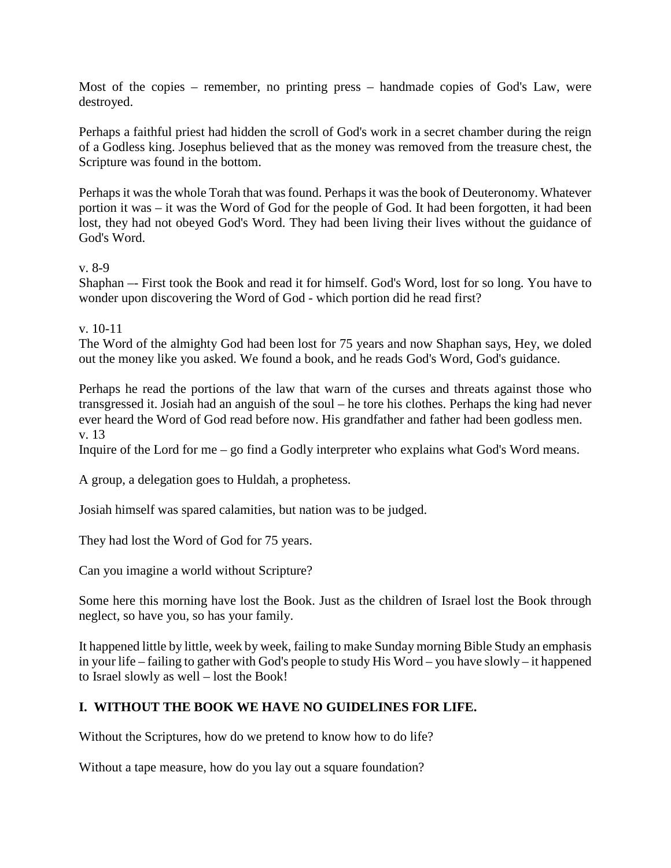Most of the copies – remember, no printing press – handmade copies of God's Law, were destroyed.

Perhaps a faithful priest had hidden the scroll of God's work in a secret chamber during the reign of a Godless king. Josephus believed that as the money was removed from the treasure chest, the Scripture was found in the bottom.

Perhaps it was the whole Torah that was found. Perhaps it was the book of Deuteronomy. Whatever portion it was – it was the Word of God for the people of God. It had been forgotten, it had been lost, they had not obeyed God's Word. They had been living their lives without the guidance of God's Word.

#### v. 8-9

Shaphan –- First took the Book and read it for himself. God's Word, lost for so long. You have to wonder upon discovering the Word of God - which portion did he read first?

#### v. 10-11

The Word of the almighty God had been lost for 75 years and now Shaphan says, Hey, we doled out the money like you asked. We found a book, and he reads God's Word, God's guidance.

Perhaps he read the portions of the law that warn of the curses and threats against those who transgressed it. Josiah had an anguish of the soul – he tore his clothes. Perhaps the king had never ever heard the Word of God read before now. His grandfather and father had been godless men. v. 13

Inquire of the Lord for me – go find a Godly interpreter who explains what God's Word means.

A group, a delegation goes to Huldah, a prophetess.

Josiah himself was spared calamities, but nation was to be judged.

They had lost the Word of God for 75 years.

Can you imagine a world without Scripture?

Some here this morning have lost the Book. Just as the children of Israel lost the Book through neglect, so have you, so has your family.

It happened little by little, week by week, failing to make Sunday morning Bible Study an emphasis in your life – failing to gather with God's people to study His Word – you have slowly – it happened to Israel slowly as well – lost the Book!

## **I. WITHOUT THE BOOK WE HAVE NO GUIDELINES FOR LIFE.**

Without the Scriptures, how do we pretend to know how to do life?

Without a tape measure, how do you lay out a square foundation?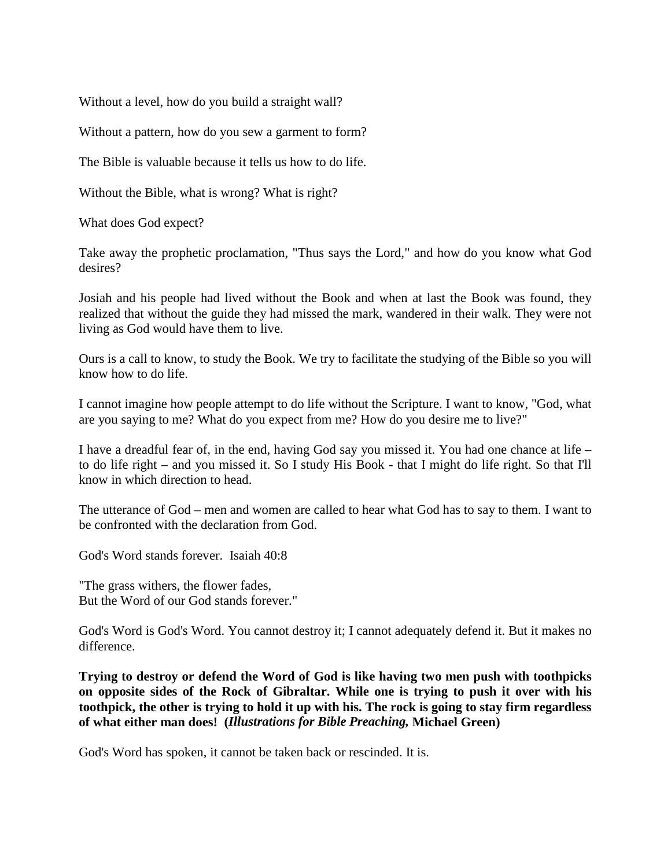Without a level, how do you build a straight wall?

Without a pattern, how do you sew a garment to form?

The Bible is valuable because it tells us how to do life.

Without the Bible, what is wrong? What is right?

What does God expect?

Take away the prophetic proclamation, "Thus says the Lord," and how do you know what God desires?

Josiah and his people had lived without the Book and when at last the Book was found, they realized that without the guide they had missed the mark, wandered in their walk. They were not living as God would have them to live.

Ours is a call to know, to study the Book. We try to facilitate the studying of the Bible so you will know how to do life.

I cannot imagine how people attempt to do life without the Scripture. I want to know, "God, what are you saying to me? What do you expect from me? How do you desire me to live?"

I have a dreadful fear of, in the end, having God say you missed it. You had one chance at life – to do life right – and you missed it. So I study His Book - that I might do life right. So that I'll know in which direction to head.

The utterance of God – men and women are called to hear what God has to say to them. I want to be confronted with the declaration from God.

God's Word stands forever. Isaiah 40:8

"The grass withers, the flower fades, But the Word of our God stands forever."

God's Word is God's Word. You cannot destroy it; I cannot adequately defend it. But it makes no difference.

**Trying to destroy or defend the Word of God is like having two men push with toothpicks on opposite sides of the Rock of Gibraltar. While one is trying to push it over with his toothpick, the other is trying to hold it up with his. The rock is going to stay firm regardless of what either man does! (***Illustrations for Bible Preaching,* **Michael Green)**

God's Word has spoken, it cannot be taken back or rescinded. It is.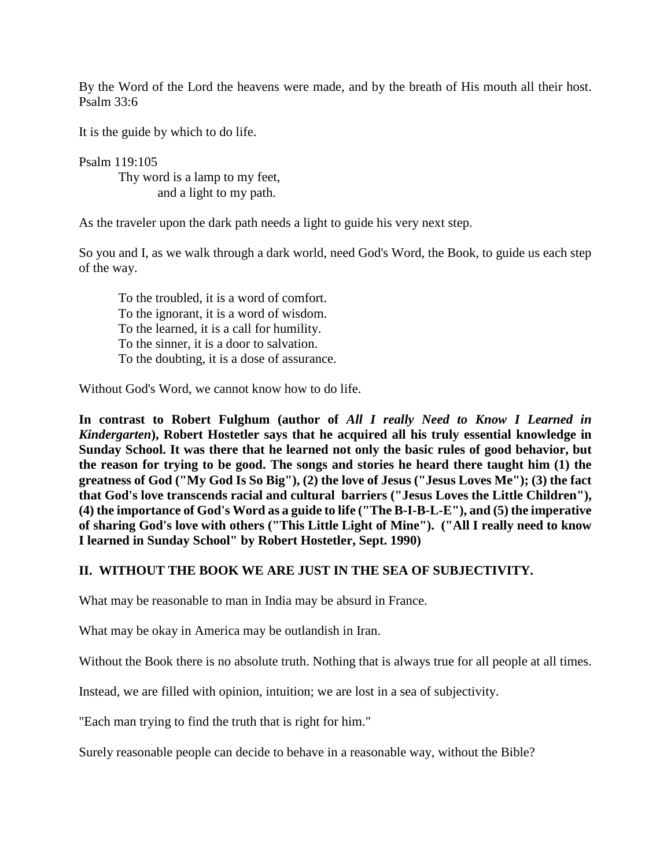By the Word of the Lord the heavens were made, and by the breath of His mouth all their host. Psalm 33:6

It is the guide by which to do life.

Psalm 119:105 Thy word is a lamp to my feet, and a light to my path.

As the traveler upon the dark path needs a light to guide his very next step.

So you and I, as we walk through a dark world, need God's Word, the Book, to guide us each step of the way.

To the troubled, it is a word of comfort. To the ignorant, it is a word of wisdom. To the learned, it is a call for humility. To the sinner, it is a door to salvation. To the doubting, it is a dose of assurance.

Without God's Word, we cannot know how to do life.

**In contrast to Robert Fulghum (author of** *All I really Need to Know I Learned in Kindergarten***), Robert Hostetler says that he acquired all his truly essential knowledge in Sunday School. It was there that he learned not only the basic rules of good behavior, but the reason for trying to be good. The songs and stories he heard there taught him (1) the greatness of God ("My God Is So Big"), (2) the love of Jesus ("Jesus Loves Me"); (3) the fact that God's love transcends racial and cultural barriers ("Jesus Loves the Little Children"), (4) the importance of God's Word as a guide to life ("The B-I-B-L-E"), and (5) the imperative of sharing God's love with others ("This Little Light of Mine"). ("All I really need to know I learned in Sunday School" by Robert Hostetler, Sept. 1990)**

#### **II. WITHOUT THE BOOK WE ARE JUST IN THE SEA OF SUBJECTIVITY.**

What may be reasonable to man in India may be absurd in France.

What may be okay in America may be outlandish in Iran.

Without the Book there is no absolute truth. Nothing that is always true for all people at all times.

Instead, we are filled with opinion, intuition; we are lost in a sea of subjectivity.

"Each man trying to find the truth that is right for him."

Surely reasonable people can decide to behave in a reasonable way, without the Bible?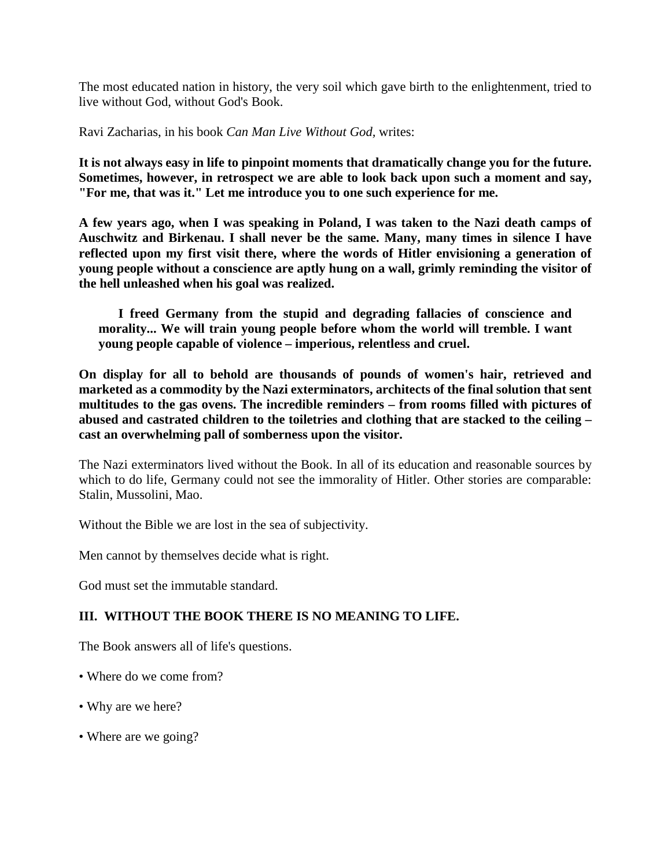The most educated nation in history, the very soil which gave birth to the enlightenment, tried to live without God, without God's Book.

Ravi Zacharias, in his book *Can Man Live Without God,* writes:

**It is not always easy in life to pinpoint moments that dramatically change you for the future. Sometimes, however, in retrospect we are able to look back upon such a moment and say, "For me, that was it." Let me introduce you to one such experience for me.**

**A few years ago, when I was speaking in Poland, I was taken to the Nazi death camps of Auschwitz and Birkenau. I shall never be the same. Many, many times in silence I have reflected upon my first visit there, where the words of Hitler envisioning a generation of young people without a conscience are aptly hung on a wall, grimly reminding the visitor of the hell unleashed when his goal was realized.**

**I freed Germany from the stupid and degrading fallacies of conscience and morality... We will train young people before whom the world will tremble. I want young people capable of violence – imperious, relentless and cruel.**

**On display for all to behold are thousands of pounds of women's hair, retrieved and marketed as a commodity by the Nazi exterminators, architects of the final solution that sent multitudes to the gas ovens. The incredible reminders – from rooms filled with pictures of abused and castrated children to the toiletries and clothing that are stacked to the ceiling – cast an overwhelming pall of somberness upon the visitor.**

The Nazi exterminators lived without the Book. In all of its education and reasonable sources by which to do life, Germany could not see the immorality of Hitler. Other stories are comparable: Stalin, Mussolini, Mao.

Without the Bible we are lost in the sea of subjectivity.

Men cannot by themselves decide what is right.

God must set the immutable standard.

# **III. WITHOUT THE BOOK THERE IS NO MEANING TO LIFE.**

The Book answers all of life's questions.

- Where do we come from?
- Why are we here?
- Where are we going?